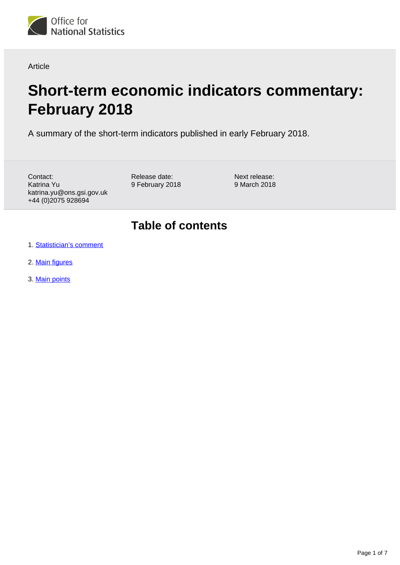

Article

# **Short-term economic indicators commentary: February 2018**

A summary of the short-term indicators published in early February 2018.

Contact: Katrina Yu katrina.yu@ons.gsi.gov.uk +44 (0)2075 928694

Release date: 9 February 2018 Next release: 9 March 2018

# **Table of contents**

- 1. [Statistician's comment](#page-1-0)
- 2. [Main figures](#page-1-1)
- 3. [Main points](#page-2-0)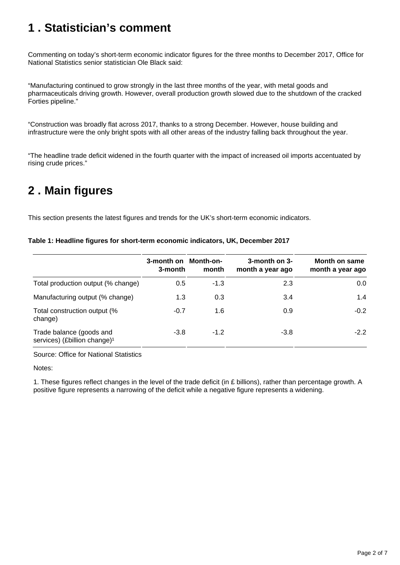# <span id="page-1-0"></span>**1 . Statistician's comment**

Commenting on today's short-term economic indicator figures for the three months to December 2017, Office for National Statistics senior statistician Ole Black said:

"Manufacturing continued to grow strongly in the last three months of the year, with metal goods and pharmaceuticals driving growth. However, overall production growth slowed due to the shutdown of the cracked Forties pipeline."

"Construction was broadly flat across 2017, thanks to a strong December. However, house building and infrastructure were the only bright spots with all other areas of the industry falling back throughout the year.

"The headline trade deficit widened in the fourth quarter with the impact of increased oil imports accentuated by rising crude prices."

# <span id="page-1-1"></span>**2 . Main figures**

This section presents the latest figures and trends for the UK's short-term economic indicators.

|                                                                      | 3-month on<br>3-month | Month-on-<br>month | 3-month on 3-<br>month a year ago | Month on same<br>month a year ago |
|----------------------------------------------------------------------|-----------------------|--------------------|-----------------------------------|-----------------------------------|
| Total production output (% change)                                   | 0.5                   | $-1.3$             | 2.3                               | 0.0                               |
| Manufacturing output (% change)                                      | 1.3                   | 0.3                | 3.4                               | 1.4                               |
| Total construction output (%<br>change)                              | $-0.7$                | 1.6                | 0.9                               | $-0.2$                            |
| Trade balance (goods and<br>services) (£billion change) <sup>1</sup> | $-3.8$                | $-1.2$             | $-3.8$                            | $-2.2$                            |

**Table 1: Headline figures for short-term economic indicators, UK, December 2017**

Source: Office for National Statistics

Notes:

1. These figures reflect changes in the level of the trade deficit (in £ billions), rather than percentage growth. A positive figure represents a narrowing of the deficit while a negative figure represents a widening.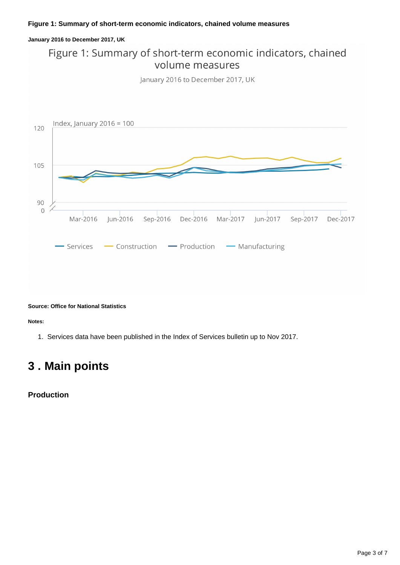### **Figure 1: Summary of short-term economic indicators, chained volume measures**

### **January 2016 to December 2017, UK**

### Figure 1: Summary of short-term economic indicators, chained volume measures

January 2016 to December 2017, UK



#### **Source: Office for National Statistics**

**Notes:**

1. Services data have been published in the Index of Services bulletin up to Nov 2017.

# <span id="page-2-0"></span>**3 . Main points**

**Production**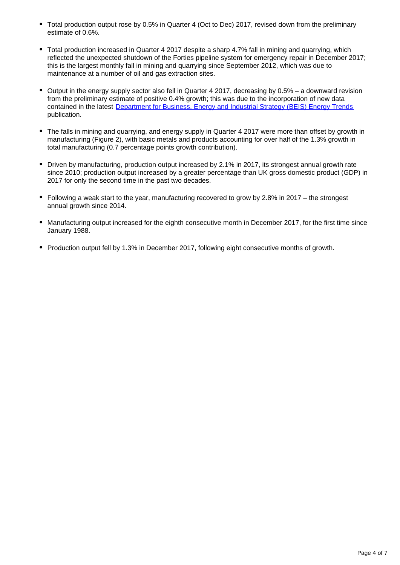- Total production output rose by 0.5% in Quarter 4 (Oct to Dec) 2017, revised down from the preliminary estimate of 0.6%.
- Total production increased in Quarter 4 2017 despite a sharp 4.7% fall in mining and quarrying, which reflected the unexpected shutdown of the Forties pipeline system for emergency repair in December 2017; this is the largest monthly fall in mining and quarrying since September 2012, which was due to maintenance at a number of oil and gas extraction sites.
- $\bullet$  Output in the energy supply sector also fell in Quarter 4 2017, decreasing by 0.5% a downward revision from the preliminary estimate of positive 0.4% growth; this was due to the incorporation of new data contained in the latest [Department for Business, Energy and Industrial Strategy \(BEIS\) Energy Trends](https://www.gov.uk/government/statistics/energy-trends-december-2017) publication.
- The falls in mining and quarrying, and energy supply in Quarter 4 2017 were more than offset by growth in manufacturing (Figure 2), with basic metals and products accounting for over half of the 1.3% growth in total manufacturing (0.7 percentage points growth contribution).
- Driven by manufacturing, production output increased by 2.1% in 2017, its strongest annual growth rate since 2010; production output increased by a greater percentage than UK gross domestic product (GDP) in 2017 for only the second time in the past two decades.
- Following a weak start to the year, manufacturing recovered to grow by 2.8% in 2017 the strongest annual growth since 2014.
- Manufacturing output increased for the eighth consecutive month in December 2017, for the first time since January 1988.
- Production output fell by 1.3% in December 2017, following eight consecutive months of growth.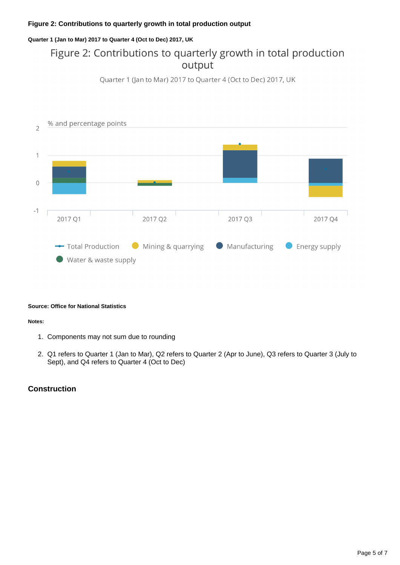### **Figure 2: Contributions to quarterly growth in total production output**

### **Quarter 1 (Jan to Mar) 2017 to Quarter 4 (Oct to Dec) 2017, UK**

### Figure 2: Contributions to quarterly growth in total production output





### **Source: Office for National Statistics**

#### **Notes:**

- 1. Components may not sum due to rounding
- 2. Q1 refers to Quarter 1 (Jan to Mar), Q2 refers to Quarter 2 (Apr to June), Q3 refers to Quarter 3 (July to Sept), and Q4 refers to Quarter 4 (Oct to Dec)

### **Construction**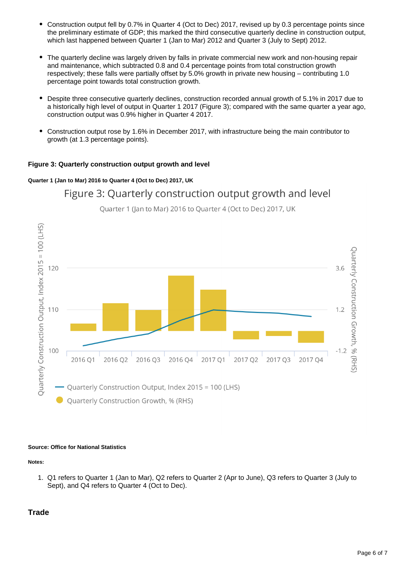- $\bullet$ Construction output fell by 0.7% in Quarter 4 (Oct to Dec) 2017, revised up by 0.3 percentage points since the preliminary estimate of GDP; this marked the third consecutive quarterly decline in construction output, which last happened between Quarter 1 (Jan to Mar) 2012 and Quarter 3 (July to Sept) 2012.
- The quarterly decline was largely driven by falls in private commercial new work and non-housing repair and maintenance, which subtracted 0.8 and 0.4 percentage points from total construction growth respectively; these falls were partially offset by 5.0% growth in private new housing – contributing 1.0 percentage point towards total construction growth.
- Despite three consecutive quarterly declines, construction recorded annual growth of 5.1% in 2017 due to a historically high level of output in Quarter 1 2017 (Figure 3); compared with the same quarter a year ago, construction output was 0.9% higher in Quarter 4 2017.
- Construction output rose by 1.6% in December 2017, with infrastructure being the main contributor to growth (at 1.3 percentage points).

### **Figure 3: Quarterly construction output growth and level**

### **Quarter 1 (Jan to Mar) 2016 to Quarter 4 (Oct to Dec) 2017, UK**



Quarter 1 (Jan to Mar) 2016 to Quarter 4 (Oct to Dec) 2017, UK

Figure 3: Quarterly construction output growth and level

### **Source: Office for National Statistics**

### **Notes:**

1. Q1 refers to Quarter 1 (Jan to Mar), Q2 refers to Quarter 2 (Apr to June), Q3 refers to Quarter 3 (July to Sept), and Q4 refers to Quarter 4 (Oct to Dec).

### **Trade**